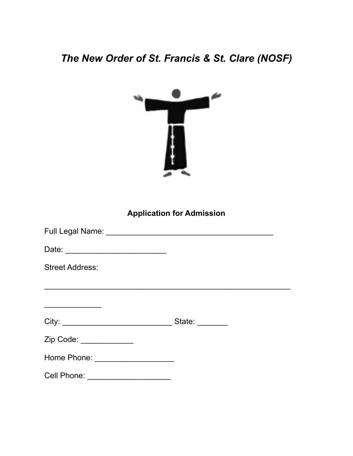## *The New Order of St. Francis & St. Clare (NOSF)*



**Application for Admission**

| <b>Street Address:</b>             |  |
|------------------------------------|--|
|                                    |  |
|                                    |  |
|                                    |  |
| Zip Code: ______________           |  |
|                                    |  |
| Cell Phone: ______________________ |  |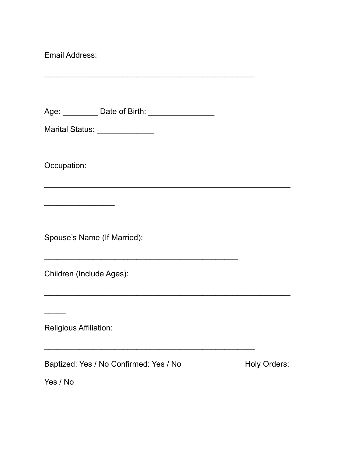Email Address:

Age: \_\_\_\_\_\_\_\_\_\_ Date of Birth: \_\_\_\_\_\_\_\_\_\_\_\_\_\_\_\_\_\_\_

\_\_\_\_\_\_\_\_\_\_\_\_\_\_\_\_\_\_\_\_\_\_\_\_\_\_\_\_\_\_\_\_\_\_\_\_\_\_\_\_\_\_\_\_\_\_\_\_

\_\_\_\_\_\_\_\_\_\_\_\_\_\_\_\_\_\_\_\_\_\_\_\_\_\_\_\_\_\_\_\_\_\_\_\_\_\_\_\_\_\_\_\_\_\_\_\_\_\_\_\_\_\_\_\_

\_\_\_\_\_\_\_\_\_\_\_\_\_\_\_\_\_\_\_\_\_\_\_\_\_\_\_\_\_\_\_\_\_\_\_\_\_\_\_\_\_\_\_\_\_\_\_\_\_\_\_\_\_\_\_\_

\_\_\_\_\_\_\_\_\_\_\_\_\_\_\_\_\_\_\_\_\_\_\_\_\_\_\_\_\_\_\_\_\_\_\_\_\_\_\_\_\_\_\_\_

\_\_\_\_\_\_\_\_\_\_\_\_\_\_\_\_\_\_\_\_\_\_\_\_\_\_\_\_\_\_\_\_\_\_\_\_\_\_\_\_\_\_\_\_\_\_\_\_

Marital Status: \_\_\_\_\_\_\_\_\_\_\_\_\_\_\_\_

Occupation:

Spouse's Name (If Married):

 $\overline{\phantom{a}}$  . The set of the set of the set of the set of the set of the set of the set of the set of the set of the set of the set of the set of the set of the set of the set of the set of the set of the set of the set o

Children (Include Ages):

Religious Affiliation:

Baptized: Yes / No Confirmed: Yes / No Andrew Holy Orders:

Yes / No

 $\overline{\phantom{a}}$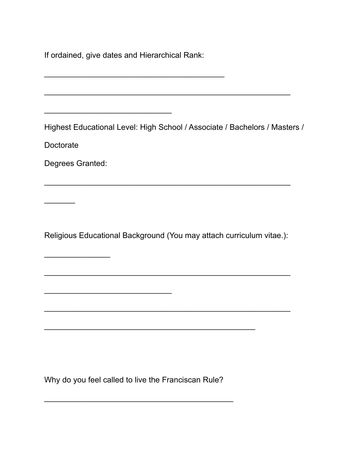If ordained, give dates and Hierarchical Rank:

\_\_\_\_\_\_\_\_\_\_\_\_\_\_\_\_\_\_\_\_\_\_\_\_\_\_\_\_\_

 $\frac{1}{2}$  ,  $\frac{1}{2}$  ,  $\frac{1}{2}$  ,  $\frac{1}{2}$  ,  $\frac{1}{2}$  ,  $\frac{1}{2}$  ,  $\frac{1}{2}$  ,  $\frac{1}{2}$  ,  $\frac{1}{2}$  ,  $\frac{1}{2}$  ,  $\frac{1}{2}$  ,  $\frac{1}{2}$  ,  $\frac{1}{2}$  ,  $\frac{1}{2}$  ,  $\frac{1}{2}$  ,  $\frac{1}{2}$  ,  $\frac{1}{2}$  ,  $\frac{1}{2}$  ,  $\frac{1$ 

 $\frac{1}{2}$  ,  $\frac{1}{2}$  ,  $\frac{1}{2}$  ,  $\frac{1}{2}$  ,  $\frac{1}{2}$  ,  $\frac{1}{2}$  ,  $\frac{1}{2}$  ,  $\frac{1}{2}$  ,  $\frac{1}{2}$  ,  $\frac{1}{2}$  ,  $\frac{1}{2}$  ,  $\frac{1}{2}$  ,  $\frac{1}{2}$  ,  $\frac{1}{2}$  ,  $\frac{1}{2}$  ,  $\frac{1}{2}$  ,  $\frac{1}{2}$  ,  $\frac{1}{2}$  ,  $\frac{1$ 

Highest Educational Level: High School / Associate / Bachelors / Masters /

\_\_\_\_\_\_\_\_\_\_\_\_\_\_\_\_\_\_\_\_\_\_\_\_\_\_\_\_\_\_\_\_\_\_\_\_\_\_\_\_\_\_\_\_\_\_\_\_\_\_\_\_\_\_\_\_

Doctorate

 $\frac{1}{2}$ 

Degrees Granted:

 $\overline{\phantom{a}}$  . The set of the set of the set of the set of the set of the set of the set of the set of the set of the set of the set of the set of the set of the set of the set of the set of the set of the set of the set o

Religious Educational Background (You may attach curriculum vitae.):

\_\_\_\_\_\_\_\_\_\_\_\_\_\_\_\_\_\_\_\_\_\_\_\_\_\_\_\_\_\_\_\_\_\_\_\_\_\_\_\_\_\_\_\_\_\_\_\_\_\_\_\_\_\_\_\_

\_\_\_\_\_\_\_\_\_\_\_\_\_\_\_\_\_\_\_\_\_\_\_\_\_\_\_\_\_\_\_\_\_\_\_\_\_\_\_\_\_\_\_\_\_\_\_\_\_\_\_\_\_\_\_\_

\_\_\_\_\_\_\_\_\_\_\_\_\_\_\_\_\_\_\_\_\_\_\_\_\_\_\_\_\_\_\_\_\_\_\_\_\_\_\_\_\_\_\_\_\_\_\_\_

\_\_\_\_\_\_\_\_\_\_\_\_\_\_\_\_\_\_\_\_\_\_\_\_\_\_\_\_\_\_\_\_\_\_\_\_\_\_\_\_\_\_\_\_\_\_\_\_\_\_\_\_\_\_\_\_

Why do you feel called to live the Franciscan Rule?

\_\_\_\_\_\_\_\_\_\_\_\_\_\_\_\_\_\_\_\_\_\_\_\_\_\_\_\_\_\_\_\_\_\_\_\_\_\_\_\_\_\_\_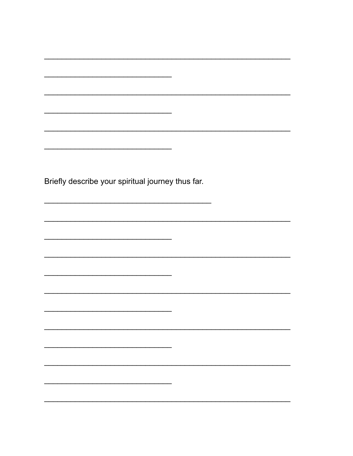Briefly describe your spiritual journey thus far.

 $\overline{a}$